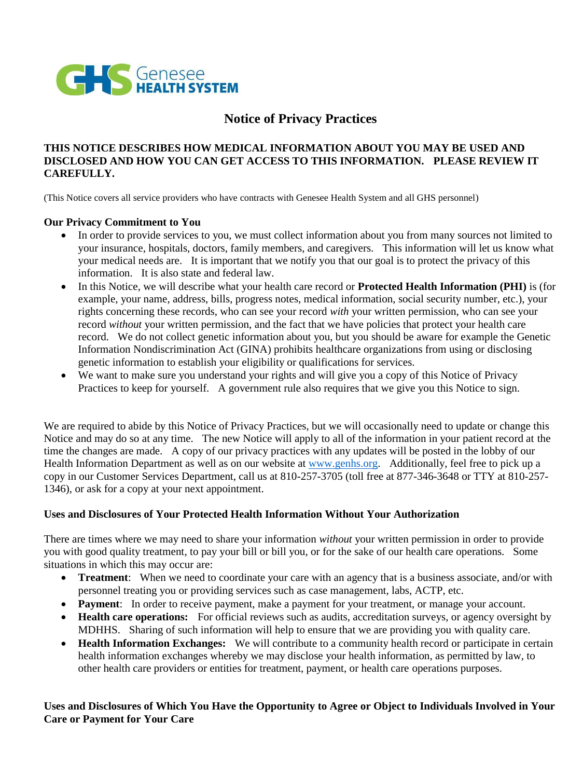

## **Notice of Privacy Practices**

## **THIS NOTICE DESCRIBES HOW MEDICAL INFORMATION ABOUT YOU MAY BE USED AND DISCLOSED AND HOW YOU CAN GET ACCESS TO THIS INFORMATION. PLEASE REVIEW IT CAREFULLY.**

(This Notice covers all service providers who have contracts with Genesee Health System and all GHS personnel)

### **Our Privacy Commitment to You**

- In order to provide services to you, we must collect information about you from many sources not limited to your insurance, hospitals, doctors, family members, and caregivers. This information will let us know what your medical needs are. It is important that we notify you that our goal is to protect the privacy of this information. It is also state and federal law.
- In this Notice, we will describe what your health care record or **Protected Health Information (PHI)** is (for example, your name, address, bills, progress notes, medical information, social security number, etc.), your rights concerning these records, who can see your record *with* your written permission, who can see your record *without* your written permission, and the fact that we have policies that protect your health care record. We do not collect genetic information about you, but you should be aware for example the Genetic Information Nondiscrimination Act (GINA) prohibits healthcare organizations from using or disclosing genetic information to establish your eligibility or qualifications for services.
- We want to make sure you understand your rights and will give you a copy of this Notice of Privacy Practices to keep for yourself. A government rule also requires that we give you this Notice to sign.

We are required to abide by this Notice of Privacy Practices, but we will occasionally need to update or change this Notice and may do so at any time. The new Notice will apply to all of the information in your patient record at the time the changes are made. A copy of our privacy practices with any updates will be posted in the lobby of our Health Information Department as well as on our website at [www.genhs.org.](http://www.genhs.org/) Additionally, feel free to pick up a copy in our Customer Services Department, call us at 810-257-3705 (toll free at 877-346-3648 or TTY at 810-257- 1346), or ask for a copy at your next appointment.

## **Uses and Disclosures of Your Protected Health Information Without Your Authorization**

There are times where we may need to share your information *without* your written permission in order to provide you with good quality treatment, to pay your bill or bill you, or for the sake of our health care operations. Some situations in which this may occur are:

- **Treatment**: When we need to coordinate your care with an agency that is a business associate, and/or with personnel treating you or providing services such as case management, labs, ACTP, etc.
- **Payment**: In order to receive payment, make a payment for your treatment, or manage your account.
- **Health care operations:** For official reviews such as audits, accreditation surveys, or agency oversight by MDHHS. Sharing of such information will help to ensure that we are providing you with quality care.
- **Health Information Exchanges:** We will contribute to a community health record or participate in certain health information exchanges whereby we may disclose your health information, as permitted by law, to other health care providers or entities for treatment, payment, or health care operations purposes.

## **Uses and Disclosures of Which You Have the Opportunity to Agree or Object to Individuals Involved in Your Care or Payment for Your Care**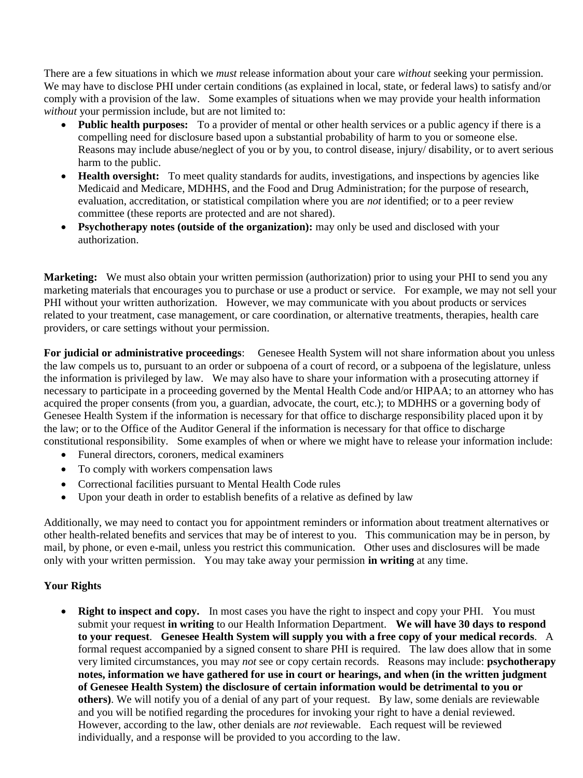There are a few situations in which we *must* release information about your care *without* seeking your permission. We may have to disclose PHI under certain conditions (as explained in local, state, or federal laws) to satisfy and/or comply with a provision of the law. Some examples of situations when we may provide your health information *without* your permission include, but are not limited to:

- **Public health purposes:** To a provider of mental or other health services or a public agency if there is a compelling need for disclosure based upon a substantial probability of harm to you or someone else. Reasons may include abuse/neglect of you or by you, to control disease, injury/ disability, or to avert serious harm to the public.
- **Health oversight:** To meet quality standards for audits, investigations, and inspections by agencies like Medicaid and Medicare, MDHHS, and the Food and Drug Administration; for the purpose of research, evaluation, accreditation, or statistical compilation where you are *not* identified; or to a peer review committee (these reports are protected and are not shared).
- **Psychotherapy notes (outside of the organization):** may only be used and disclosed with your authorization.

**Marketing:** We must also obtain your written permission (authorization) prior to using your PHI to send you any marketing materials that encourages you to purchase or use a product or service. For example, we may not sell your PHI without your written authorization. However, we may communicate with you about products or services related to your treatment, case management, or care coordination, or alternative treatments, therapies, health care providers, or care settings without your permission.

**For judicial or administrative proceedings**: Genesee Health System will not share information about you unless the law compels us to, pursuant to an order or subpoena of a court of record, or a subpoena of the legislature, unless the information is privileged by law. We may also have to share your information with a prosecuting attorney if necessary to participate in a proceeding governed by the Mental Health Code and/or HIPAA; to an attorney who has acquired the proper consents (from you, a guardian, advocate, the court, etc.); to MDHHS or a governing body of Genesee Health System if the information is necessary for that office to discharge responsibility placed upon it by the law; or to the Office of the Auditor General if the information is necessary for that office to discharge constitutional responsibility. Some examples of when or where we might have to release your information include:

- Funeral directors, coroners, medical examiners
- To comply with workers compensation laws
- Correctional facilities pursuant to Mental Health Code rules
- Upon your death in order to establish benefits of a relative as defined by law

Additionally, we may need to contact you for appointment reminders or information about treatment alternatives or other health-related benefits and services that may be of interest to you. This communication may be in person, by mail, by phone, or even e-mail, unless you restrict this communication. Other uses and disclosures will be made only with your written permission. You may take away your permission **in writing** at any time.

## **Your Rights**

**Right to inspect and copy.** In most cases you have the right to inspect and copy your PHI. You must submit your request **in writing** to our Health Information Department. **We will have 30 days to respond to your request**. **Genesee Health System will supply you with a free copy of your medical records**. A formal request accompanied by a signed consent to share PHI is required. The law does allow that in some very limited circumstances, you may *not* see or copy certain records. Reasons may include: **psychotherapy notes, information we have gathered for use in court or hearings, and when (in the written judgment of Genesee Health System) the disclosure of certain information would be detrimental to you or others)**. We will notify you of a denial of any part of your request. By law, some denials are reviewable and you will be notified regarding the procedures for invoking your right to have a denial reviewed. However, according to the law, other denials are *not* reviewable. Each request will be reviewed individually, and a response will be provided to you according to the law.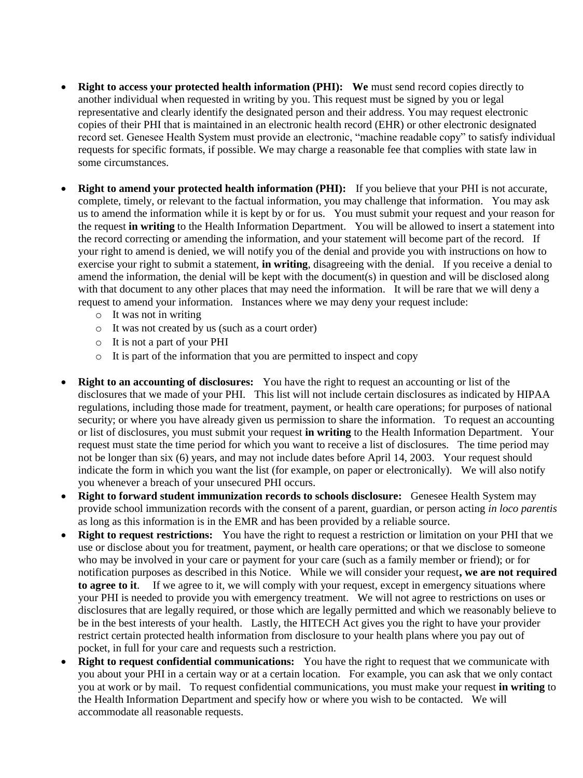- **Right to access your protected health information (PHI): We** must send record copies directly to another individual when requested in writing by you. This request must be signed by you or legal representative and clearly identify the designated person and their address. You may request electronic copies of their PHI that is maintained in an electronic health record (EHR) or other electronic designated record set. Genesee Health System must provide an electronic, "machine readable copy" to satisfy individual requests for specific formats, if possible. We may charge a reasonable fee that complies with state law in some circumstances.
- **Right to amend your protected health information (PHI):** If you believe that your PHI is not accurate, complete, timely, or relevant to the factual information, you may challenge that information. You may ask us to amend the information while it is kept by or for us. You must submit your request and your reason for the request **in writing** to the Health Information Department. You will be allowed to insert a statement into the record correcting or amending the information, and your statement will become part of the record. If your right to amend is denied, we will notify you of the denial and provide you with instructions on how to exercise your right to submit a statement, **in writing**, disagreeing with the denial. If you receive a denial to amend the information, the denial will be kept with the document(s) in question and will be disclosed along with that document to any other places that may need the information. It will be rare that we will deny a request to amend your information. Instances where we may deny your request include:
	- o It was not in writing
	- o It was not created by us (such as a court order)
	- o It is not a part of your PHI
	- o It is part of the information that you are permitted to inspect and copy
- **Right to an accounting of disclosures:** You have the right to request an accounting or list of the disclosures that we made of your PHI. This list will not include certain disclosures as indicated by HIPAA regulations, including those made for treatment, payment, or health care operations; for purposes of national security; or where you have already given us permission to share the information. To request an accounting or list of disclosures, you must submit your request **in writing** to the Health Information Department. Your request must state the time period for which you want to receive a list of disclosures. The time period may not be longer than six (6) years, and may not include dates before April 14, 2003. Your request should indicate the form in which you want the list (for example, on paper or electronically). We will also notify you whenever a breach of your unsecured PHI occurs.
- **Right to forward student immunization records to schools disclosure:** Genesee Health System may provide school immunization records with the consent of a parent, guardian, or person acting *in loco parentis* as long as this information is in the EMR and has been provided by a reliable source.
- **Right to request restrictions:** You have the right to request a restriction or limitation on your PHI that we use or disclose about you for treatment, payment, or health care operations; or that we disclose to someone who may be involved in your care or payment for your care (such as a family member or friend); or for notification purposes as described in this Notice. While we will consider your request**, we are not required to agree to it**. If we agree to it, we will comply with your request, except in emergency situations where your PHI is needed to provide you with emergency treatment. We will not agree to restrictions on uses or disclosures that are legally required, or those which are legally permitted and which we reasonably believe to be in the best interests of your health. Lastly, the HITECH Act gives you the right to have your provider restrict certain protected health information from disclosure to your health plans where you pay out of pocket, in full for your care and requests such a restriction.
- **Right to request confidential communications:** You have the right to request that we communicate with you about your PHI in a certain way or at a certain location. For example, you can ask that we only contact you at work or by mail. To request confidential communications, you must make your request **in writing** to the Health Information Department and specify how or where you wish to be contacted. We will accommodate all reasonable requests.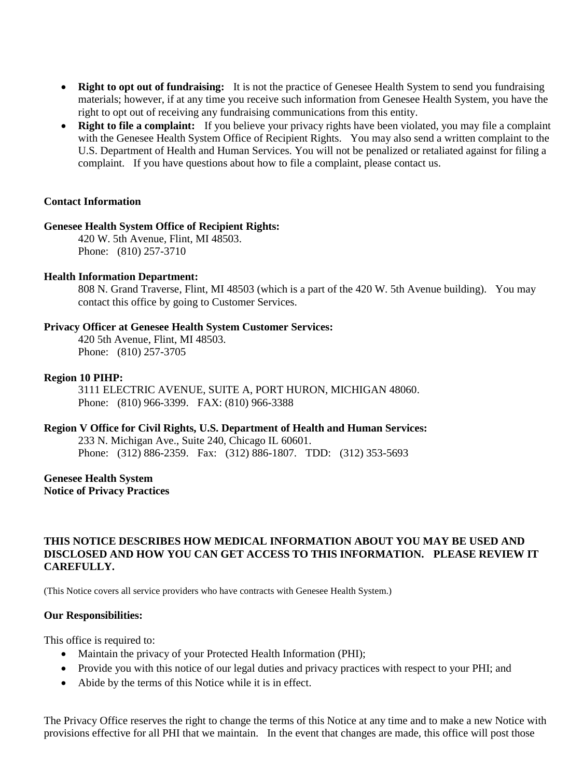- **Right to opt out of fundraising:** It is not the practice of Genesee Health System to send you fundraising materials; however, if at any time you receive such information from Genesee Health System, you have the right to opt out of receiving any fundraising communications from this entity.
- **Right to file a complaint:** If you believe your privacy rights have been violated, you may file a complaint with the Genesee Health System Office of Recipient Rights. You may also send a written complaint to the U.S. Department of Health and Human Services. You will not be penalized or retaliated against for filing a complaint. If you have questions about how to file a complaint, please contact us.

### **Contact Information**

#### **Genesee Health System Office of Recipient Rights:**

420 W. 5th Avenue, Flint, MI 48503. Phone: (810) 257-3710

### **Health Information Department:**

808 N. Grand Traverse, Flint, MI 48503 (which is a part of the 420 W. 5th Avenue building). You may contact this office by going to Customer Services.

### **Privacy Officer at Genesee Health System Customer Services:**

420 5th Avenue, Flint, MI 48503. Phone: (810) 257-3705

#### **Region 10 PIHP:**

3111 ELECTRIC AVENUE, SUITE A, PORT HURON, MICHIGAN 48060. Phone: (810) 966-3399. FAX: (810) 966-3388

### **Region V Office for Civil Rights, U.S. Department of Health and Human Services:**

233 N. Michigan Ave., Suite 240, Chicago IL 60601. Phone: (312) 886-2359. Fax: (312) 886-1807. TDD: (312) 353-5693

# **Genesee Health System**

**Notice of Privacy Practices** 

## **THIS NOTICE DESCRIBES HOW MEDICAL INFORMATION ABOUT YOU MAY BE USED AND DISCLOSED AND HOW YOU CAN GET ACCESS TO THIS INFORMATION. PLEASE REVIEW IT CAREFULLY.**

(This Notice covers all service providers who have contracts with Genesee Health System.)

### **Our Responsibilities:**

This office is required to:

- Maintain the privacy of your Protected Health Information (PHI);
- Provide you with this notice of our legal duties and privacy practices with respect to your PHI; and
- Abide by the terms of this Notice while it is in effect.

The Privacy Office reserves the right to change the terms of this Notice at any time and to make a new Notice with provisions effective for all PHI that we maintain. In the event that changes are made, this office will post those